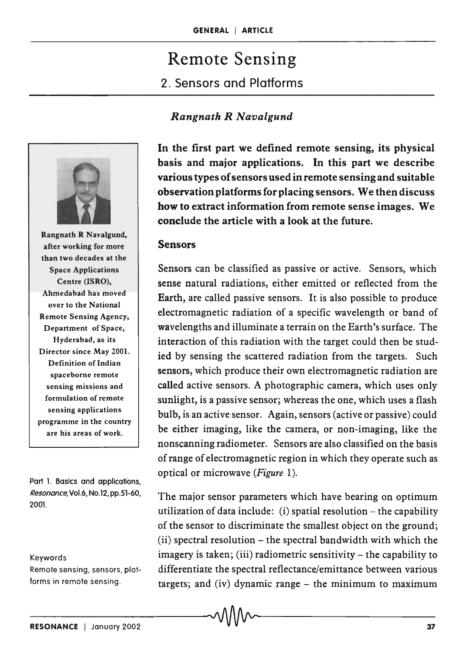# Remote Sensing 2. Sensors and Platforms

#### *Rangnath R Navalgund*



Rangnath R Navalgund, after working for more than two decades at the Space Applications Centre (ISRO), Ahmedabad has moved over to the National Remote Sensing Agency, Department of Space, Hyderabad, as its Director since May 2001. Definition of Indian spacebome remote sensing missions and formulation of remote sensing applications programme in the country are his areas of work.

Part 1. Basics and applications, Resonance, Vol.6, No.12, pp.Sl-60, 2001 .

#### Keywords

Remote sensing, sensors, platforms in remote sensing.

In the first part we defined remote sensing, its physical basis and major applications. In this part we describe various types of sensors used in remote sensing and suitable observation platforms for placing sensors. We then discuss how to extract information from remote sense images. We conclude the article with a look at the future.

#### **Sensors**

Sensors can be classified as passive or active. Sensors, which sense natural radiations, either emitted or reflected from the Earth, are called passive sensors. It is also possible to produce electromagnetic radiation of a specific wavelength or band of wavelengths and illuminate a terrain on the Earth's surface. The interaction of this radiation with the target could then be studied by sensing the scattered radiation from the targets. Such sensors, which produce their own electromagnetic radiation are called active sensors. A photographic camera, which uses only sunlight, is a passive sensor; whereas the one, which uses a flash bulb, is an active sensor. Again, sensors (active or passive) could be either imaging, like the camera, or non-imaging, like the nonscanning radiometer. Sensors are also classified on the basis of range of electromagnetic region in which they operate such as optical or microwave *(Figure* 1).

The major sensor parameters which have bearing on optimum utilization of data include: (i) spatial resolution  $-$  the capability of the sensor to discriminate the smallest object on the ground;  $(ii)$  spectral resolution – the spectral bandwidth with which the imagery is taken; (iii) radiometric sensitivity - the capability to differentiate the spectral reflectance/emittance between various targets; and (iv) dynamic range  $-$  the minimum to maximum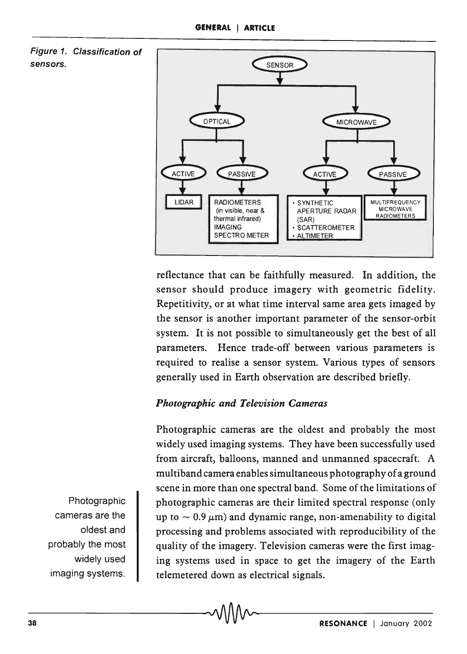Figure 1. Classification of sensors.



reflectance that can be faithfully measured. In addition, the sensor should produce imagery with geometric fidelity. Repetitivity, or at what time interval same area gets imaged by the sensor is another important parameter of the sensor-orbit system. It is not possible to simultaneously get the best of all parameters. Hence trade-off between various parameters is required to realise a sensor system. Various types of sensors generally used in Earth observation are described briefly.

#### *Photographic and Television Cameras*

Photographic cameras are the oldest and probably the most widely used imaging systems. They have been successfully used from aircraft, balloons, manned and unmanned spacecraft. A multiband camera enables simultaneous photography of a ground scene in more than one spectral band. Some of the limitations of photographic cameras are their limited spectral response (only up to  $\sim 0.9 \,\mu\text{m}$ ) and dynamic range, non-amenability to digital processing and problems associated with reproducibility of the quality of the imagery. Television cameras were the first imaging systems used in space to get the imagery of the Earth telemetered down as electrical signals.

Photographic cameras are the oldest and probably the most widely used imaging systems.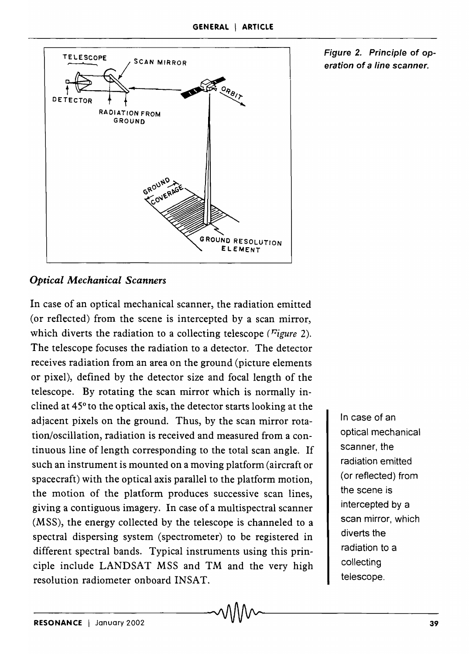

#### *Optical Mechanical Scanners*

In case of an optical mechanical scanner, the radiation emitted (or reflected) from the scene is intercepted by a scan mirror, which diverts the radiation to a collecting telescope ( $Figure 2$ ). The telescope focuses the radiation to a detector. The detector receives radiation from an area on the ground (picture elements or pixel), defined by the detector size and focal length of the telescope. By rotating the scan mirror which is normally inclined at 45° to the optical axis, the detector starts looking at the adjacent pixels on the ground. Thus, by the scan mirror rotation/oscillation, radiation is received and measured from a continuous line of length corresponding to the total scan angle. If such an instrument is mounted on a moving platform (aircraft or spacecraft) with the optical axis parallel to the platform motion, the motion of the platform produces successive scan lines, giving a contiguous imagery. In case of a multispectral scanner (MSS), the energy collected by the telescope is channeled to a spectral dispersing system (spectrometer) to be registered in different spectral bands. Typical instruments using this principle include LANDSAT MSS and TM and the very high resolution radiometer onboard INSAT.

Figure 2. Principle of operation of a line scanner.

> In case of an optical mechanical scanner, the radiation emitted (or reflected) from the scene is intercepted by a scan mirror, which diverts the radiation to a collecting telescope.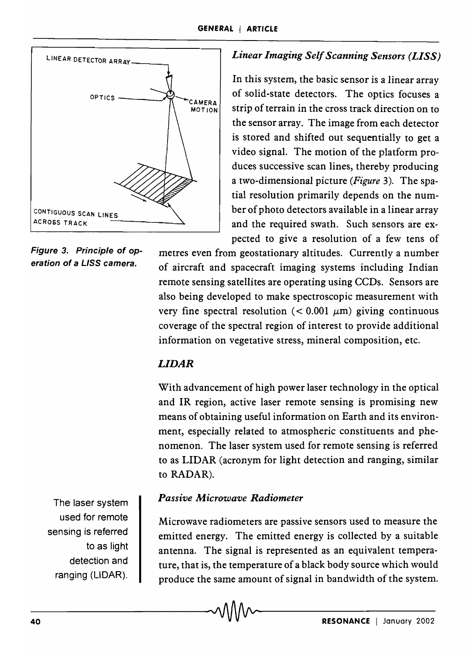

#### Figure 3. Principle of operation of a LlSS camera.

In this system, the basic sensor is a linear array of solid-state detectors. The optics focuses a strip of terrain in the cross track direction on to the sensor array. The image from each detector is stored and shifted out sequentially to get a video signal. The motion of the platform produces successive scan lines, thereby producing a two-dimensional picture *(Figure* 3). The spatial resolution primarily depends on the number of photo detectors available in a linear array and the required swath. Such sensors are expected to give a resolution of a few tens of

metres even from geostationary altitudes. Currently a number of aircraft and spacecraft imaging systems including Indian remote sensing satellites are operating using CCDs. Sensors are also being developed to make spectroscopic measurement with very fine spectral resolution  $(< 0.001 \mu m)$  giving continuous coverage of the spectral region of interest to provide additional information on vegetative stress, mineral composition, etc.

#### *LIDAR*

With advancement of high power laser technology in the optical and IR region, active laser remote sensing is promising new means of obtaining useful information on Earth and its environment, especially related to atmospheric constituents and phenomenon. The laser system used for remote sensing is referred to as LIDAR (acronym for light detection and ranging, similar to RADAR).

The laser system used for remote sensing is referred to as light detection and ranging (LIDAR).

#### *Passive Microwave Radiometer*

Microwave radiometers are passive sensors used to measure the emitted energy. The emitted energy is collected by a suitable antenna. The signal is represented as an equivalent temperature, that is, the temperature of a black body source which would produce the same amount of signal in bandwidth of the system.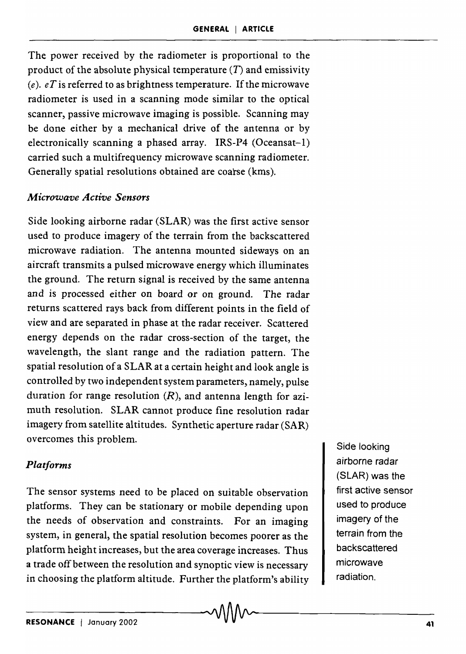The power received by the radiometer is proportional to the product of the absolute physical temperature  $(T)$  and emissivity (e). e *T* is referred to as brightness temperature. If the microwave radiometer is used in a scanning mode similar to the optical scanner, passive microwave imaging is possible. Scanning may be done either by a mechanical drive of the antenna or by electronically scanning a phased array. IRS-P4 (Oceansat-l) carried such a multifrequency microwave scanning radiometer. Generally spatial resolutions obtained are coarse (kms).

#### *Microwave Active Sensors*

Side looking airborne radar (SLAR) was the first active sensor used to produce imagery of the terrain from the backscattered microwave radiation. The antenna mounted sideways on an aircraft transmits a pulsed microwave energy which illuminates the ground. The return signal is received by the same antenna and is processed either on board or on ground. The radar returns scattered rays back from different points in the field of view and are separated in phase at the radar receiver. Scattered energy depends on the radar cross-section of the target, the wavelength, the slant range and the radiation pattern. The spatial resolution of a SLAR at a certain height and look angle is controlled by two independent system parameters, namely, pulse duration for range resolution  $(R)$ , and antenna length for azimuth resolution. SLAR cannot produce fine resolution radar imagery from satellite altitudes. Synthetic aperture radar (SAR) overcomes this problem.

#### *Platforms*

The sensor systems need to be placed on suitable observation platforms. They can be stationary or mobile depending upon the needs of observation and constraints. For an imaging system, in general, the spatial resolution becomes poorer as the platform height increases, but the area coverage increases. Thus a trade off between the resolution and synoptic view is necessary in choosing the platform altitude. Further the platform's ability Side looking airborne radar (SLAR) was the first active sensor used to produce imagery of the terrain from the backscattered microwave radiation.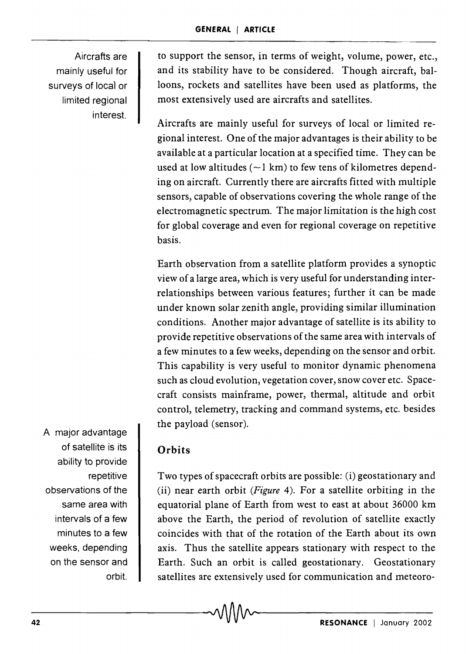Aircrafts are mainly useful for surveys of local or limited regional interest.

to support the sensor, in terms of weight, volume, power, etc., and its stability have to be considered. Though aircraft, balloons, rockets and satellites have been used as platforms, the most extensively used are aircrafts and satellites.

Aircrafts are mainly useful for surveys of local or limited regional interest. One of the major advantages is their ability to be available at a particular location at a specified time. They can be used at low altitudes  $(-1 \text{ km})$  to few tens of kilometres depending on aircraft. Currently there are aircrafts fitted with multiple sensors, capable of observations covering the whole range of the electromagnetic spectrum. The major limitation is the high cost for global coverage and even for regional coverage on repetitive basis.

Earth observation from a satellite platform provides a synoptic view of a large area, which is very useful for understanding interrelationships between various features; further it can be made under known solar zenith angle, providing similar illumination conditions. Another major advantage of satellite is its ability to provide repetitive observations of the same area with intervals of a few minutes to a few weeks, depending on the sensor and orbit. This capability is very useful to monitor dynamic phenomena such as cloud evolution, vegetation cover, snow cover etc. Spacecraft consists mainframe, power, thermal, altitude and orbit control, telemetry, tracking and command systems, etc. besides the payload (sensor).

# **Orbits**

Two types of spacecraft orbits are possible: (i) geostationary and (ii) near earth orbit *(Figure* 4). For a satellite orbiting in the equatorial plane of Earth from west to east at about 36000 km above the Earth, the period of revolution of satellite exactly coincides with that of the rotation of the Earth about its own axis. Thus the satellite appears stationary with respect to the Earth. Such an orbit is called geostationary. Geostationary satellites are extensively used for communication and meteoro-

A major advantage of satellite is its ability to provide repetitive observations of the same area with intervals of a few minutes to a few weeks, depending on the sensor and orbit.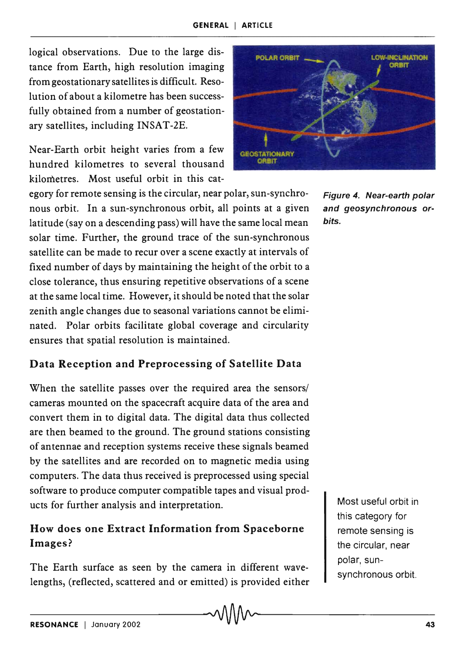logical observations. Due to the large distance from Earth, high resolution imaging from geostationary satellites is difficult. Resolution of about a kilometre has been successfully obtained from a number of geostationary satellites, including INSAT-2E.

Near-Earth orbit height varies from a few hundred kilometres to several thousand kilometres. Most useful orbit in this cat-

egory for remote sensing is the circular, near polar, sun-synchronous orbit. In a sun-synchronous orbit, all points at a given latitude (say on a descending pass) will have the same local mean solar time. Further, the ground trace of the sun-synchronous satellite can be made to recur over a scene exactly at intervals of fixed number of days by maintaining the height of the orbit to a close tolerance, thus ensuring repetitive observations of a scene at the same local time. However, it should be noted that the solar zenith angle changes due to seasonal variations cannot be eliminated. Polar orbits facilitate global coverage and circularity ensures that spatial resolution is maintained.

## Data Reception and Preprocessing of Satellite Data

When the satellite passes over the required area the sensors/ cameras mounted on the spacecraft acquire data of the area and convert them in to digital data. The digital data thus collected are then beamed to the ground. The ground stations consisting of antennae and reception systems receive these signals beamed by the satellites and are recorded on to magnetic media using computers. The data thus received is preprocessed using special software to produce computer compatible tapes and visual products for further analysis and interpretation.

## How does one Extract Information from Spaceborne Images?

The Earth surface as seen by the camera in different wavelengths, (reflected, scattered and or emitted) is provided either



Figure 4. Near-earth polar and geosynchronous orbits.

> Most useful orbit in this category for remote sensing is the circular, near polar, sunsynchronous orbit.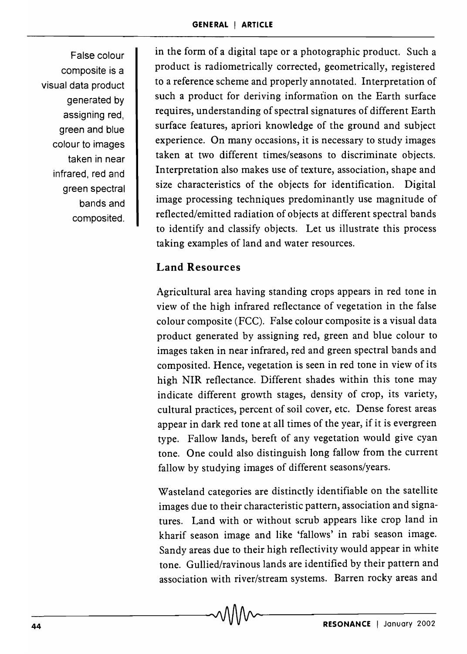False colour composite is a visual data product generated by assigning red, green and blue colour to images taken in near infrared, red and green spectral bands and composited.

in the form of a digital tape or a photographic product. Such a product is radiometrically corrected, geometrically, registered to a reference scheme and properly annotated. Interpretation of such a product for deriving information on the Earth surface requires, understanding of spectral signatures of different Earth surface features, apriori knowledge of the ground and subject experience. On many occasions, it is necessary to study images taken at two different times/seasons to discriminate objects. Interpretation also makes use of texture, association, shape and size characteristics of the objects for identification. Digital image processing techniques predominantly use magnitude of reflected/emitted radiation of objects at different spectral bands to identify and classify objects. Let us illustrate this process taking examples of land and water resources.

#### Land Resources

Agricultural area having standing crops appears in red tone in view of the high infrared reflectance of vegetation in the false colour composite (FCC). False colour composite is a visual data product generated by assigning red, green and blue colour to images taken in near infrared, red and green spectral bands and composited. Hence, vegetation is seen in red tone in view of its high NIR reflectance. Different shades within this tone may indicate different growth stages, density of crop, its variety, cultural practices, percent of soil cover, etc. Dense forest areas appear in dark red tone at all times of the year, if it is evergreen type. Fallow lands, bereft of any vegetation would give cyan tone. One could also distinguish long fallow from the current fallow by studying images of different seasons/years.

Wasteland categories are distinctly identifiable on the satellite images due to their characteristic pattern, association and signatures. Land with or without scrub appears like crop land in kharif season image and like 'fallows' in rabi season image. Sandy areas due to their high reflectivity would appear in white tone. Gullied/ravinous lands are identified by their pattern and association with river/stream systems. Barren rocky areas and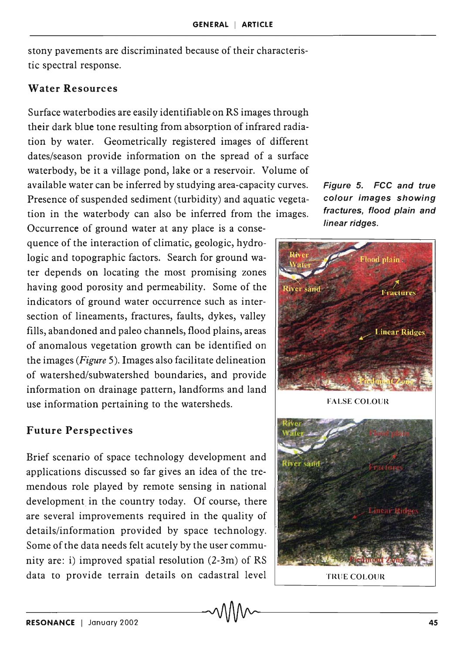stony pavements are discriminated because of their characteristic spectral response.

#### Water Resources

Surface waterbodies are easily identifiable on RS images through their dark blue tone resulting from absorption of infrared radiation by water. Geometrically registered images of different dates/season provide information on the spread of a surface waterbody, be it a village pond, lake or a reservoir. Volume of available water can be inferred by studying area-capacity curves. Presence of suspended sediment (turbidity) and aquatic vegetation in the waterbody can also be inferred from the images.

Occurrence of ground water at any place is a consequence of the interaction of climatic, geologic, hydrologic and topographic factors. Search for ground water depends on locating the most promising zones having good porosity and permeability. Some of the indicators of ground water occurrence such as intersection of lineaments, fractures, faults, dykes, valley fills, abandoned and paleo channels, flood plains, areas of anomalous vegetation growth can be identified on the images *(Figure* 5). Images also facilitate delineation of watershed/subwatershed boundaries, and provide information on drainage pattern, landforms and land use information pertaining to the watersheds.

#### Future Perspectives

Brief scenario of space technology development and applications discussed so far gives an idea of the tremendous role played by remote sensing in national development in the country today. Of course, there are several improvements required in the quality of details/information provided by space technology. Some of the data needs felt acutely by the user community are: i) improved spatial resolution (2-3m) of RS data to provide terrain details on cadastral level

Figure 5. FCC and true colour images showing fractures, flood plain and linear ridges.